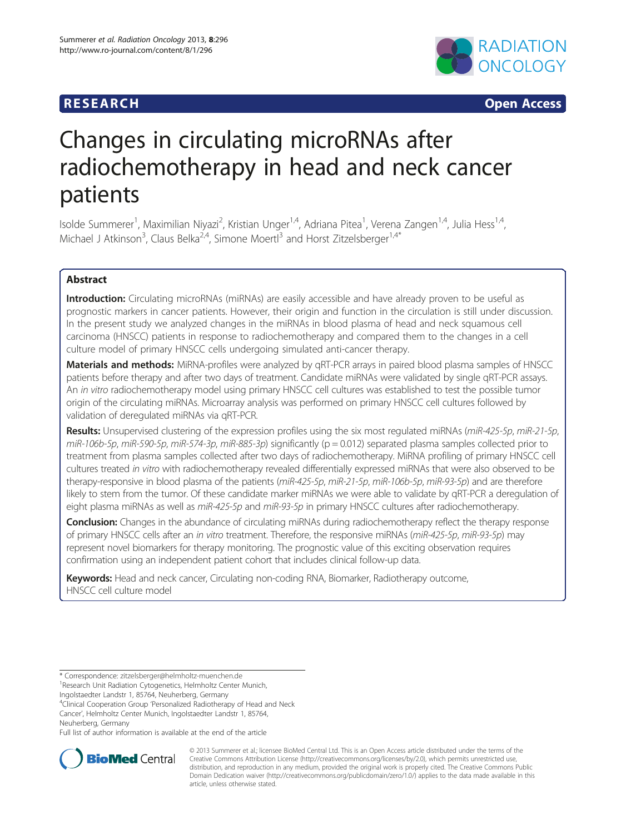# **RESEARCH RESEARCH CONSUMING ACCESS**



# Changes in circulating microRNAs after radiochemotherapy in head and neck cancer patients

Isolde Summerer<sup>1</sup>, Maximilian Niyazi<sup>2</sup>, Kristian Unger<sup>1,4</sup>, Adriana Pitea<sup>1</sup>, Verena Zangen<sup>1,4</sup>, Julia Hess<sup>1,4</sup>, Michael J Atkinson<sup>3</sup>, Claus Belka<sup>2,4</sup>, Simone Moertl<sup>3</sup> and Horst Zitzelsberger<sup>1,4\*</sup>

# Abstract

Introduction: Circulating microRNAs (miRNAs) are easily accessible and have already proven to be useful as prognostic markers in cancer patients. However, their origin and function in the circulation is still under discussion. In the present study we analyzed changes in the miRNAs in blood plasma of head and neck squamous cell carcinoma (HNSCC) patients in response to radiochemotherapy and compared them to the changes in a cell culture model of primary HNSCC cells undergoing simulated anti-cancer therapy.

Materials and methods: MiRNA-profiles were analyzed by qRT-PCR arrays in paired blood plasma samples of HNSCC patients before therapy and after two days of treatment. Candidate miRNAs were validated by single qRT-PCR assays. An in vitro radiochemotherapy model using primary HNSCC cell cultures was established to test the possible tumor origin of the circulating miRNAs. Microarray analysis was performed on primary HNSCC cell cultures followed by validation of deregulated miRNAs via qRT-PCR.

Results: Unsupervised clustering of the expression profiles using the six most regulated miRNAs (miR-425-5p, miR-21-5p,  $miR-106b-5p$ , miR-590-5p, miR-574-3p, miR-885-3p) significantly ( $p = 0.012$ ) separated plasma samples collected prior to treatment from plasma samples collected after two days of radiochemotherapy. MiRNA profiling of primary HNSCC cell cultures treated in vitro with radiochemotherapy revealed differentially expressed miRNAs that were also observed to be therapy-responsive in blood plasma of the patients (miR-425-5p, miR-21-5p, miR-106b-5p, miR-93-5p) and are therefore likely to stem from the tumor. Of these candidate marker miRNAs we were able to validate by qRT-PCR a deregulation of eight plasma miRNAs as well as miR-425-5p and miR-93-5p in primary HNSCC cultures after radiochemotherapy.

**Conclusion:** Changes in the abundance of circulating miRNAs during radiochemotherapy reflect the therapy response of primary HNSCC cells after an in vitro treatment. Therefore, the responsive miRNAs (miR-425-5p, miR-93-5p) may represent novel biomarkers for therapy monitoring. The prognostic value of this exciting observation requires confirmation using an independent patient cohort that includes clinical follow-up data.

Keywords: Head and neck cancer, Circulating non-coding RNA, Biomarker, Radiotherapy outcome, HNSCC cell culture model

<sup>4</sup>Clinical Cooperation Group 'Personalized Radiotherapy of Head and Neck Cancer', Helmholtz Center Munich, Ingolstaedter Landstr 1, 85764,

Full list of author information is available at the end of the article



© 2013 Summerer et al.; licensee BioMed Central Ltd. This is an Open Access article distributed under the terms of the Creative Commons Attribution License (<http://creativecommons.org/licenses/by/2.0>), which permits unrestricted use, distribution, and reproduction in any medium, provided the original work is properly cited. The Creative Commons Public Domain Dedication waiver [\(http://creativecommons.org/publicdomain/zero/1.0/\)](http://creativecommons.org/publicdomain/zero/1.0/) applies to the data made available in this article, unless otherwise stated.

<sup>\*</sup> Correspondence: [zitzelsberger@helmholtz-muenchen.de](mailto:zitzelsberger@helmholtz-muenchen.de) <sup>1</sup>

<sup>&</sup>lt;sup>1</sup> Research Unit Radiation Cytogenetics, Helmholtz Center Munich,

Ingolstaedter Landstr 1, 85764, Neuherberg, Germany

Neuherberg, Germany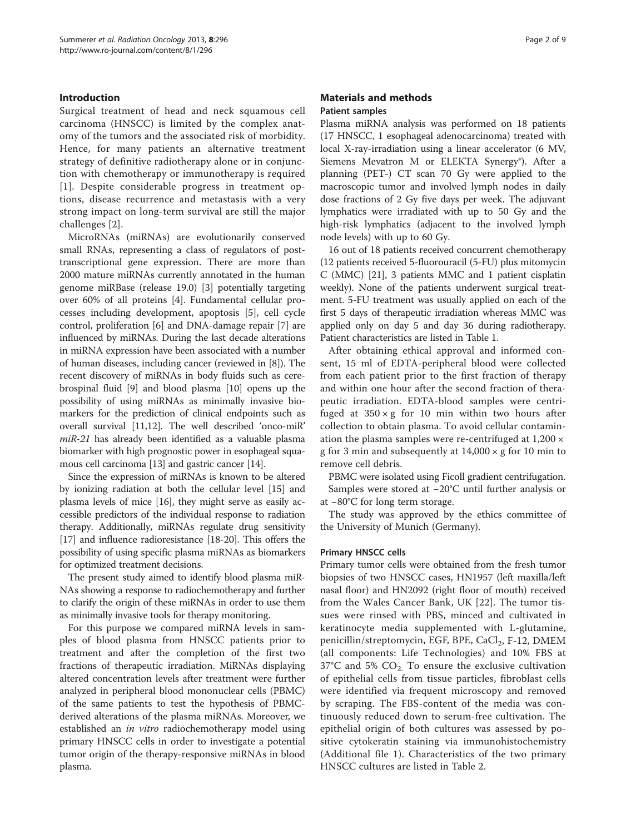# Introduction

Surgical treatment of head and neck squamous cell carcinoma (HNSCC) is limited by the complex anatomy of the tumors and the associated risk of morbidity. Hence, for many patients an alternative treatment strategy of definitive radiotherapy alone or in conjunction with chemotherapy or immunotherapy is required [[1](#page-7-0)]. Despite considerable progress in treatment options, disease recurrence and metastasis with a very strong impact on long-term survival are still the major challenges [[2\]](#page-7-0).

MicroRNAs (miRNAs) are evolutionarily conserved small RNAs, representing a class of regulators of posttranscriptional gene expression. There are more than 2000 mature miRNAs currently annotated in the human genome miRBase (release 19.0) [\[3\]](#page-7-0) potentially targeting over 60% of all proteins [\[4](#page-7-0)]. Fundamental cellular processes including development, apoptosis [\[5](#page-7-0)], cell cycle control, proliferation [\[6](#page-7-0)] and DNA-damage repair [[7\]](#page-7-0) are influenced by miRNAs. During the last decade alterations in miRNA expression have been associated with a number of human diseases, including cancer (reviewed in [[8\]](#page-7-0)). The recent discovery of miRNAs in body fluids such as cerebrospinal fluid [[9](#page-7-0)] and blood plasma [\[10\]](#page-7-0) opens up the possibility of using miRNAs as minimally invasive biomarkers for the prediction of clinical endpoints such as overall survival [\[11,12\]](#page-8-0). The well described 'onco-miR' miR-21 has already been identified as a valuable plasma biomarker with high prognostic power in esophageal squamous cell carcinoma [[13](#page-8-0)] and gastric cancer [\[14\]](#page-8-0).

Since the expression of miRNAs is known to be altered by ionizing radiation at both the cellular level [\[15](#page-8-0)] and plasma levels of mice [\[16\]](#page-8-0), they might serve as easily accessible predictors of the individual response to radiation therapy. Additionally, miRNAs regulate drug sensitivity [[17](#page-8-0)] and influence radioresistance [[18-20\]](#page-8-0). This offers the possibility of using specific plasma miRNAs as biomarkers for optimized treatment decisions.

The present study aimed to identify blood plasma miR-NAs showing a response to radiochemotherapy and further to clarify the origin of these miRNAs in order to use them as minimally invasive tools for therapy monitoring.

For this purpose we compared miRNA levels in samples of blood plasma from HNSCC patients prior to treatment and after the completion of the first two fractions of therapeutic irradiation. MiRNAs displaying altered concentration levels after treatment were further analyzed in peripheral blood mononuclear cells (PBMC) of the same patients to test the hypothesis of PBMCderived alterations of the plasma miRNAs. Moreover, we established an *in vitro* radiochemotherapy model using primary HNSCC cells in order to investigate a potential tumor origin of the therapy-responsive miRNAs in blood plasma.

# Materials and methods Patient samples

Plasma miRNA analysis was performed on 18 patients (17 HNSCC, 1 esophageal adenocarcinoma) treated with local X-ray-irradiation using a linear accelerator (6 MV, Siemens Mevatron M or ELEKTA Synergy®). After a planning (PET-) CT scan 70 Gy were applied to the macroscopic tumor and involved lymph nodes in daily dose fractions of 2 Gy five days per week. The adjuvant lymphatics were irradiated with up to 50 Gy and the high-risk lymphatics (adjacent to the involved lymph node levels) with up to 60 Gy.

16 out of 18 patients received concurrent chemotherapy (12 patients received 5-fluorouracil (5-FU) plus mitomycin C (MMC) [\[21](#page-8-0)], 3 patients MMC and 1 patient cisplatin weekly). None of the patients underwent surgical treatment. 5-FU treatment was usually applied on each of the first 5 days of therapeutic irradiation whereas MMC was applied only on day 5 and day 36 during radiotherapy. Patient characteristics are listed in Table [1.](#page-2-0)

After obtaining ethical approval and informed consent, 15 ml of EDTA-peripheral blood were collected from each patient prior to the first fraction of therapy and within one hour after the second fraction of therapeutic irradiation. EDTA-blood samples were centrifuged at  $350 \times g$  for 10 min within two hours after collection to obtain plasma. To avoid cellular contamination the plasma samples were re-centrifuged at 1,200 × g for 3 min and subsequently at  $14,000 \times g$  for 10 min to remove cell debris.

PBMC were isolated using Ficoll gradient centrifugation. Samples were stored at −20°C until further analysis or at −80°C for long term storage.

The study was approved by the ethics committee of the University of Munich (Germany).

# Primary HNSCC cells

Primary tumor cells were obtained from the fresh tumor biopsies of two HNSCC cases, HN1957 (left maxilla/left nasal floor) and HN2092 (right floor of mouth) received from the Wales Cancer Bank, UK [[22](#page-8-0)]. The tumor tissues were rinsed with PBS, minced and cultivated in keratinocyte media supplemented with L-glutamine, penicillin/streptomycin, EGF, BPE, CaCl<sub>2</sub>, F-12, DMEM (all components: Life Technologies) and 10% FBS at  $37^{\circ}$ C and 5%  $CO<sub>2</sub>$ . To ensure the exclusive cultivation of epithelial cells from tissue particles, fibroblast cells were identified via frequent microscopy and removed by scraping. The FBS-content of the media was continuously reduced down to serum-free cultivation. The epithelial origin of both cultures was assessed by positive cytokeratin staining via immunohistochemistry (Additional file [1](#page-7-0)). Characteristics of the two primary HNSCC cultures are listed in Table [2](#page-2-0).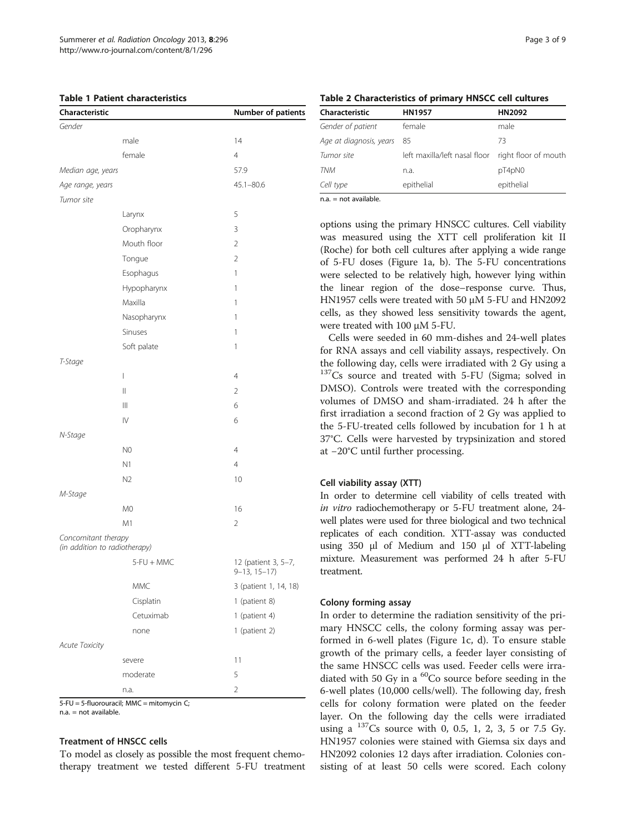<span id="page-2-0"></span>

| Characteristic                                       |                        | Number of patients                       |
|------------------------------------------------------|------------------------|------------------------------------------|
| Gender                                               |                        |                                          |
|                                                      | male                   | 14                                       |
|                                                      | female                 | $\overline{4}$                           |
| Median age, years                                    |                        | 57.9                                     |
| Age range, years                                     |                        | $45.1 - 80.6$                            |
| Tumor site                                           |                        |                                          |
|                                                      | Larynx                 | 5                                        |
|                                                      | Oropharynx             | 3                                        |
|                                                      | Mouth floor            | $\overline{2}$                           |
|                                                      | Tongue                 | $\overline{2}$                           |
|                                                      | Esophagus              | 1                                        |
|                                                      | Hypopharynx            | 1                                        |
|                                                      | Maxilla                | 1                                        |
|                                                      | Nasopharynx            | 1                                        |
|                                                      | Sinuses                | 1                                        |
|                                                      | Soft palate            | 1                                        |
| T-Stage                                              |                        |                                          |
|                                                      | $\overline{1}$         | 4                                        |
|                                                      | $\mathop{  }$          | $\overline{2}$                           |
|                                                      | $\mathbb{H}$           | 6                                        |
|                                                      | $\mathsf{I}\mathsf{V}$ | 6                                        |
| N-Stage                                              |                        |                                          |
|                                                      | N <sub>0</sub>         | $\overline{4}$                           |
|                                                      | N1                     | 4                                        |
|                                                      | N <sub>2</sub>         | 10                                       |
| M-Stage                                              |                        |                                          |
|                                                      | M <sub>0</sub>         | 16                                       |
|                                                      | M1                     | 2                                        |
| Concomitant therapy<br>(in addition to radiotherapy) |                        |                                          |
|                                                      | 5-FU + MMC             | 12 (patient 3, 5-7,<br>$9 - 13, 15 - 17$ |
|                                                      | <b>MMC</b>             | 3 (patient 1, 14, 18)                    |
|                                                      | Cisplatin              | 1 (patient 8)                            |
|                                                      | Cetuximab              | 1 (patient 4)                            |
|                                                      | none                   | 1 (patient 2)                            |
| Acute Toxicity                                       |                        |                                          |
|                                                      | severe                 | 11                                       |
|                                                      | moderate               | 5                                        |
|                                                      | n.a.                   | $\overline{2}$                           |

5-FU = 5-fluorouracil; MMC = mitomycin C;

n.a. = not available.

#### Treatment of HNSCC cells

To model as closely as possible the most frequent chemotherapy treatment we tested different 5-FU treatment

Table 2 Characteristics of primary HNSCC cell cultures

| Characteristic          | <b>HN1957</b>                 | HN2092<br>male       |  |
|-------------------------|-------------------------------|----------------------|--|
| Gender of patient       | female                        |                      |  |
| Age at diagnosis, years | 85                            | 73                   |  |
| Tumor site              | left maxilla/left nasal floor | right floor of mouth |  |
| <b>TNM</b>              | n.a.                          | pT4pN0               |  |
| Cell type               | epithelial                    | epithelial           |  |
|                         |                               |                      |  |

 $na = not available$ .

options using the primary HNSCC cultures. Cell viability was measured using the XTT cell proliferation kit II (Roche) for both cell cultures after applying a wide range of 5-FU doses (Figure [1](#page-3-0)a, b). The 5-FU concentrations were selected to be relatively high, however lying within the linear region of the dose–response curve. Thus, HN1957 cells were treated with 50 μM 5-FU and HN2092 cells, as they showed less sensitivity towards the agent, were treated with 100 μM 5-FU.

Cells were seeded in 60 mm-dishes and 24-well plates for RNA assays and cell viability assays, respectively. On the following day, cells were irradiated with 2 Gy using a <sup>137</sup>Cs source and treated with 5-FU (Sigma; solved in DMSO). Controls were treated with the corresponding volumes of DMSO and sham-irradiated. 24 h after the first irradiation a second fraction of 2 Gy was applied to the 5-FU-treated cells followed by incubation for 1 h at 37°C. Cells were harvested by trypsinization and stored at −20°C until further processing.

# Cell viability assay (XTT)

In order to determine cell viability of cells treated with in vitro radiochemotherapy or 5-FU treatment alone, 24 well plates were used for three biological and two technical replicates of each condition. XTT-assay was conducted using 350 μl of Medium and 150 μl of XTT-labeling mixture. Measurement was performed 24 h after 5-FU treatment.

# Colony forming assay

In order to determine the radiation sensitivity of the primary HNSCC cells, the colony forming assay was performed in 6-well plates (Figure [1c](#page-3-0), d). To ensure stable growth of the primary cells, a feeder layer consisting of the same HNSCC cells was used. Feeder cells were irradiated with 50 Gy in a <sup>60</sup>Co source before seeding in the 6-well plates (10,000 cells/well). The following day, fresh cells for colony formation were plated on the feeder layer. On the following day the cells were irradiated using a  $^{137}Cs$  source with 0, 0.5, 1, 2, 3, 5 or 7.5 Gy. HN1957 colonies were stained with Giemsa six days and HN2092 colonies 12 days after irradiation. Colonies consisting of at least 50 cells were scored. Each colony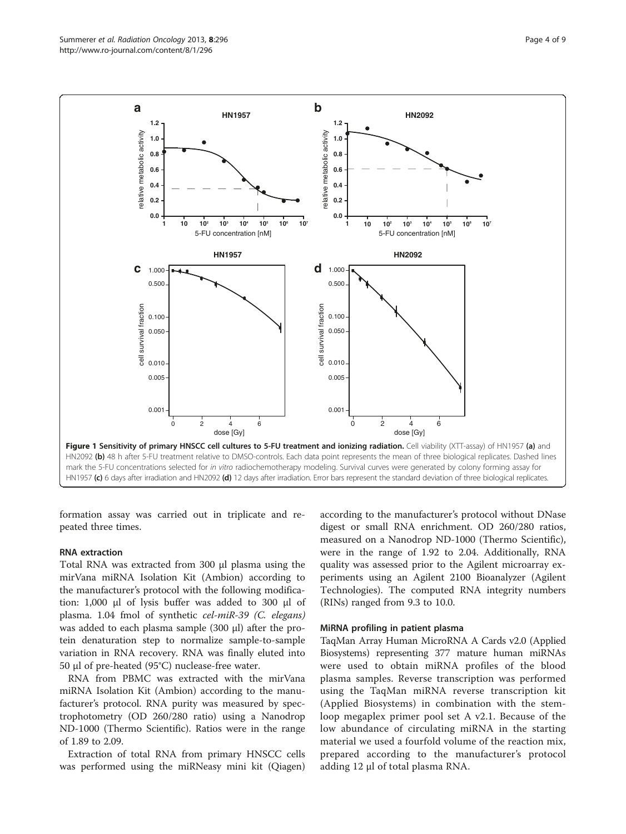<span id="page-3-0"></span>

formation assay was carried out in triplicate and repeated three times.

#### RNA extraction

Total RNA was extracted from 300 μl plasma using the mirVana miRNA Isolation Kit (Ambion) according to the manufacturer's protocol with the following modification: 1,000 μl of lysis buffer was added to 300 μl of plasma. 1.04 fmol of synthetic cel-miR-39 (C. elegans) was added to each plasma sample (300 μl) after the protein denaturation step to normalize sample-to-sample variation in RNA recovery. RNA was finally eluted into 50 μl of pre-heated (95°C) nuclease-free water.

RNA from PBMC was extracted with the mirVana miRNA Isolation Kit (Ambion) according to the manufacturer's protocol. RNA purity was measured by spectrophotometry (OD 260/280 ratio) using a Nanodrop ND-1000 (Thermo Scientific). Ratios were in the range of 1.89 to 2.09.

Extraction of total RNA from primary HNSCC cells was performed using the miRNeasy mini kit (Qiagen)

according to the manufacturer's protocol without DNase digest or small RNA enrichment. OD 260/280 ratios, measured on a Nanodrop ND-1000 (Thermo Scientific), were in the range of 1.92 to 2.04. Additionally, RNA quality was assessed prior to the Agilent microarray experiments using an Agilent 2100 Bioanalyzer (Agilent Technologies). The computed RNA integrity numbers (RINs) ranged from 9.3 to 10.0.

# MiRNA profiling in patient plasma

TaqMan Array Human MicroRNA A Cards v2.0 (Applied Biosystems) representing 377 mature human miRNAs were used to obtain miRNA profiles of the blood plasma samples. Reverse transcription was performed using the TaqMan miRNA reverse transcription kit (Applied Biosystems) in combination with the stemloop megaplex primer pool set A v2.1. Because of the low abundance of circulating miRNA in the starting material we used a fourfold volume of the reaction mix, prepared according to the manufacturer's protocol adding 12 μl of total plasma RNA.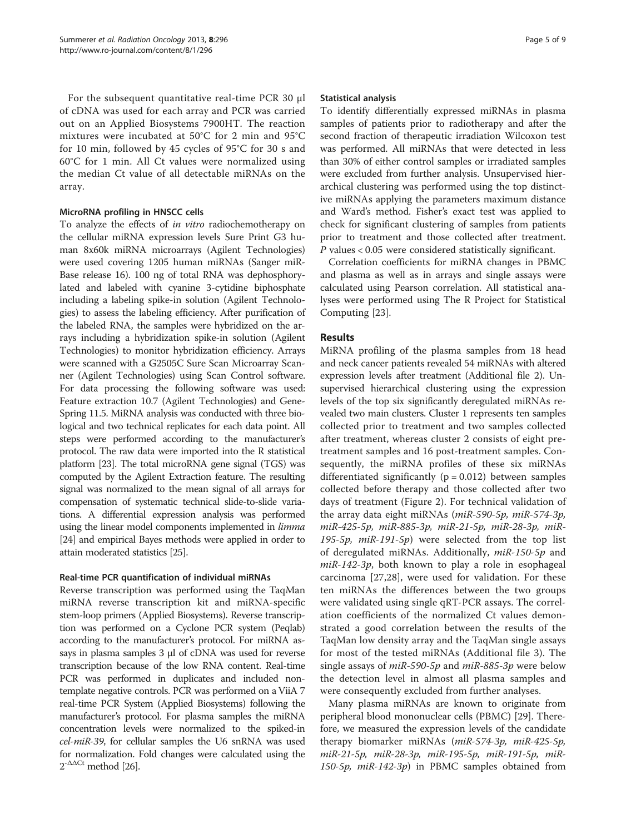For the subsequent quantitative real-time PCR 30 μl of cDNA was used for each array and PCR was carried out on an Applied Biosystems 7900HT. The reaction mixtures were incubated at 50°C for 2 min and 95°C for 10 min, followed by 45 cycles of 95°C for 30 s and 60°C for 1 min. All Ct values were normalized using the median Ct value of all detectable miRNAs on the array.

# MicroRNA profiling in HNSCC cells

To analyze the effects of in vitro radiochemotherapy on the cellular miRNA expression levels Sure Print G3 human 8x60k miRNA microarrays (Agilent Technologies) were used covering 1205 human miRNAs (Sanger miR-Base release 16). 100 ng of total RNA was dephosphorylated and labeled with cyanine 3-cytidine biphosphate including a labeling spike-in solution (Agilent Technologies) to assess the labeling efficiency. After purification of the labeled RNA, the samples were hybridized on the arrays including a hybridization spike-in solution (Agilent Technologies) to monitor hybridization efficiency. Arrays were scanned with a G2505C Sure Scan Microarray Scanner (Agilent Technologies) using Scan Control software. For data processing the following software was used: Feature extraction 10.7 (Agilent Technologies) and Gene-Spring 11.5. MiRNA analysis was conducted with three biological and two technical replicates for each data point. All steps were performed according to the manufacturer's protocol. The raw data were imported into the R statistical platform [[23](#page-8-0)]. The total microRNA gene signal (TGS) was computed by the Agilent Extraction feature. The resulting signal was normalized to the mean signal of all arrays for compensation of systematic technical slide-to-slide variations. A differential expression analysis was performed using the linear model components implemented in *limma* [[24](#page-8-0)] and empirical Bayes methods were applied in order to attain moderated statistics [[25\]](#page-8-0).

# Real-time PCR quantification of individual miRNAs

Reverse transcription was performed using the TaqMan miRNA reverse transcription kit and miRNA-specific stem-loop primers (Applied Biosystems). Reverse transcription was performed on a Cyclone PCR system (Peqlab) according to the manufacturer's protocol. For miRNA assays in plasma samples 3 μl of cDNA was used for reverse transcription because of the low RNA content. Real-time PCR was performed in duplicates and included nontemplate negative controls. PCR was performed on a ViiA 7 real-time PCR System (Applied Biosystems) following the manufacturer's protocol. For plasma samples the miRNA concentration levels were normalized to the spiked-in cel-miR-39, for cellular samples the U6 snRNA was used for normalization. Fold changes were calculated using the  $2^{-\Delta\Delta Ct}$  method [\[26](#page-8-0)].

#### Statistical analysis

To identify differentially expressed miRNAs in plasma samples of patients prior to radiotherapy and after the second fraction of therapeutic irradiation Wilcoxon test was performed. All miRNAs that were detected in less than 30% of either control samples or irradiated samples were excluded from further analysis. Unsupervised hierarchical clustering was performed using the top distinctive miRNAs applying the parameters maximum distance and Ward's method. Fisher's exact test was applied to check for significant clustering of samples from patients prior to treatment and those collected after treatment. P values < 0.05 were considered statistically significant.

Correlation coefficients for miRNA changes in PBMC and plasma as well as in arrays and single assays were calculated using Pearson correlation. All statistical analyses were performed using The R Project for Statistical Computing [\[23\]](#page-8-0).

# Results

MiRNA profiling of the plasma samples from 18 head and neck cancer patients revealed 54 miRNAs with altered expression levels after treatment (Additional file [2](#page-7-0)). Unsupervised hierarchical clustering using the expression levels of the top six significantly deregulated miRNAs revealed two main clusters. Cluster 1 represents ten samples collected prior to treatment and two samples collected after treatment, whereas cluster 2 consists of eight pretreatment samples and 16 post-treatment samples. Consequently, the miRNA profiles of these six miRNAs differentiated significantly ( $p = 0.012$ ) between samples collected before therapy and those collected after two days of treatment (Figure [2](#page-5-0)). For technical validation of the array data eight miRNAs (miR-590-5p, miR-574-3p, miR-425-5p, miR-885-3p, miR-21-5p, miR-28-3p, miR-195-5p,  $mik-191-5p$ ) were selected from the top list<br>of deregulated miRNAs, Additionally,  $mik-150-5p$ , and of deregulated miRNAs. Additionally, miR-150-5p and  $miR-142-3p$ , both known to play a role in esophageal carcinoma [[27,28\]](#page-8-0), were used for validation. For these ten miRNAs the differences between the two groups were validated using single qRT-PCR assays. The correlation coefficients of the normalized Ct values demonstrated a good correlation between the results of the TaqMan low density array and the TaqMan single assays for most of the tested miRNAs (Additional file [3](#page-7-0)). The single assays of *miR-590-5p* and *miR-885-3p* were below the detection level in almost all plasma samples and were consequently excluded from further analyses.

Many plasma miRNAs are known to originate from peripheral blood mononuclear cells (PBMC) [[29](#page-8-0)]. Therefore, we measured the expression levels of the candidate therapy biomarker miRNAs (miR-574-3p, miR-425-5p, miR-21-5p, miR-28-3p, miR-195-5p, miR- $150-5p$ ,  $miR-142-3p$ ) in PBMC samples obtained from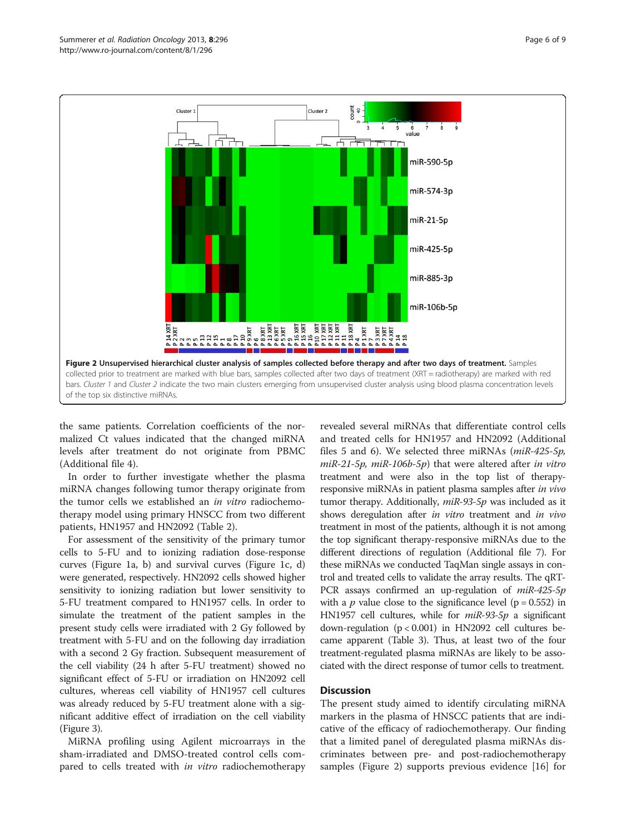<span id="page-5-0"></span>

the same patients. Correlation coefficients of the normalized Ct values indicated that the changed miRNA levels after treatment do not originate from PBMC (Additional file [4](#page-7-0)).

In order to further investigate whether the plasma miRNA changes following tumor therapy originate from the tumor cells we established an in vitro radiochemotherapy model using primary HNSCC from two different patients, HN1957 and HN2092 (Table [2\)](#page-2-0).

For assessment of the sensitivity of the primary tumor cells to 5-FU and to ionizing radiation dose-response curves (Figure [1a](#page-3-0), b) and survival curves (Figure [1](#page-3-0)c, d) were generated, respectively. HN2092 cells showed higher sensitivity to ionizing radiation but lower sensitivity to 5-FU treatment compared to HN1957 cells. In order to simulate the treatment of the patient samples in the present study cells were irradiated with 2 Gy followed by treatment with 5-FU and on the following day irradiation with a second 2 Gy fraction. Subsequent measurement of the cell viability (24 h after 5-FU treatment) showed no significant effect of 5-FU or irradiation on HN2092 cell cultures, whereas cell viability of HN1957 cell cultures was already reduced by 5-FU treatment alone with a significant additive effect of irradiation on the cell viability (Figure [3](#page-6-0)).

MiRNA profiling using Agilent microarrays in the sham-irradiated and DMSO-treated control cells compared to cells treated with in vitro radiochemotherapy revealed several miRNAs that differentiate control cells and treated cells for HN1957 and HN2092 (Additional files [5](#page-7-0) and [6\)](#page-7-0). We selected three miRNAs (miR-425-5p, miR-21-5p, miR-106b-5p) that were altered after in vitro treatment and were also in the top list of therapyresponsive miRNAs in patient plasma samples after in vivo tumor therapy. Additionally, miR-93-5p was included as it shows deregulation after in vitro treatment and in vivo treatment in most of the patients, although it is not among the top significant therapy-responsive miRNAs due to the different directions of regulation (Additional file [7](#page-7-0)). For these miRNAs we conducted TaqMan single assays in control and treated cells to validate the array results. The qRT-PCR assays confirmed an up-regulation of miR-425-5p with a *p* value close to the significance level ( $p = 0.552$ ) in HN1957 cell cultures, while for miR-93-5p a significant down-regulation (p < 0.001) in HN2092 cell cultures became apparent (Table [3](#page-6-0)). Thus, at least two of the four treatment-regulated plasma miRNAs are likely to be associated with the direct response of tumor cells to treatment.

# **Discussion**

The present study aimed to identify circulating miRNA markers in the plasma of HNSCC patients that are indicative of the efficacy of radiochemotherapy. Our finding that a limited panel of deregulated plasma miRNAs discriminates between pre- and post-radiochemotherapy samples (Figure 2) supports previous evidence [\[16](#page-8-0)] for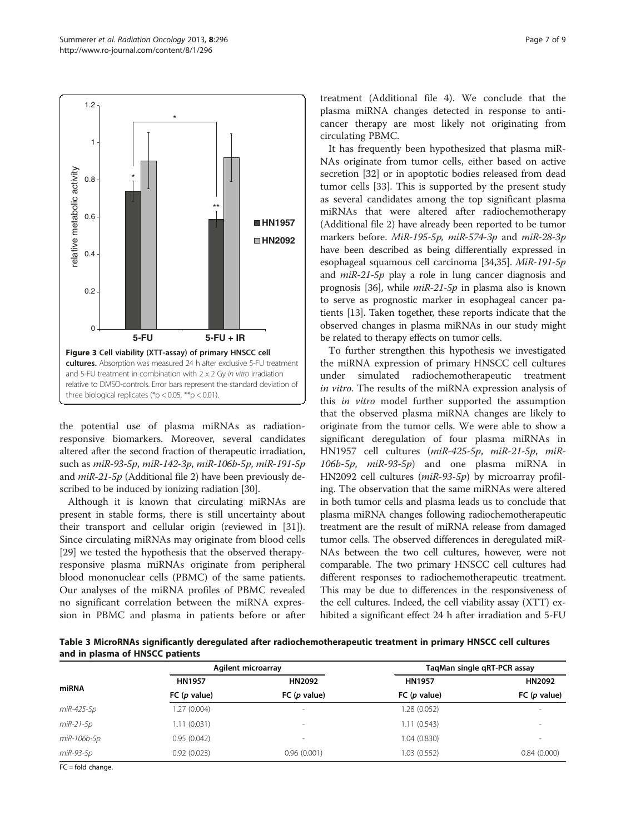<span id="page-6-0"></span>

the potential use of plasma miRNAs as radiationresponsive biomarkers. Moreover, several candidates altered after the second fraction of therapeutic irradiation, such as miR-93-5p, miR-142-3p, miR-106b-5p, miR-191-5p and miR-21-5p (Additional file [2](#page-7-0)) have been previously described to be induced by ionizing radiation [[30](#page-8-0)].

Although it is known that circulating miRNAs are present in stable forms, there is still uncertainty about their transport and cellular origin (reviewed in [\[31](#page-8-0)]). Since circulating miRNAs may originate from blood cells [[29\]](#page-8-0) we tested the hypothesis that the observed therapyresponsive plasma miRNAs originate from peripheral blood mononuclear cells (PBMC) of the same patients. Our analyses of the miRNA profiles of PBMC revealed no significant correlation between the miRNA expression in PBMC and plasma in patients before or after

treatment (Additional file [4\)](#page-7-0). We conclude that the plasma miRNA changes detected in response to anticancer therapy are most likely not originating from circulating PBMC.

It has frequently been hypothesized that plasma miR-NAs originate from tumor cells, either based on active secretion [\[32](#page-8-0)] or in apoptotic bodies released from dead tumor cells [\[33](#page-8-0)]. This is supported by the present study as several candidates among the top significant plasma miRNAs that were altered after radiochemotherapy (Additional file [2\)](#page-7-0) have already been reported to be tumor markers before. MiR-195-5p, miR-574-3p and miR-28-3p have been described as being differentially expressed in esophageal squamous cell carcinoma [[34,35](#page-8-0)]. MiR-191-5p and miR-21-5p play a role in lung cancer diagnosis and prognosis [\[36\]](#page-8-0), while  $miR-21-5p$  in plasma also is known to serve as prognostic marker in esophageal cancer patients [\[13\]](#page-8-0). Taken together, these reports indicate that the observed changes in plasma miRNAs in our study might be related to therapy effects on tumor cells.

To further strengthen this hypothesis we investigated the miRNA expression of primary HNSCC cell cultures under simulated radiochemotherapeutic treatment in vitro. The results of the miRNA expression analysis of this *in vitro* model further supported the assumption that the observed plasma miRNA changes are likely to originate from the tumor cells. We were able to show a significant deregulation of four plasma miRNAs in HN1957 cell cultures (miR-425-5p, miR-21-5p, miR- $106b-5p$ ,  $miR-93-5p$  and one plasma miRNA in HN2092 cell cultures (miR-93-5p) by microarray profiling. The observation that the same miRNAs were altered in both tumor cells and plasma leads us to conclude that plasma miRNA changes following radiochemotherapeutic treatment are the result of miRNA release from damaged tumor cells. The observed differences in deregulated miR-NAs between the two cell cultures, however, were not comparable. The two primary HNSCC cell cultures had different responses to radiochemotherapeutic treatment. This may be due to differences in the responsiveness of the cell cultures. Indeed, the cell viability assay (XTT) exhibited a significant effect 24 h after irradiation and 5-FU

Table 3 MicroRNAs significantly deregulated after radiochemotherapeutic treatment in primary HNSCC cell cultures and in plasma of HNSCC patients

|             | <b>Agilent microarray</b> |                          | TagMan single gRT-PCR assay |                          |
|-------------|---------------------------|--------------------------|-----------------------------|--------------------------|
| miRNA       | <b>HN1957</b>             | HN2092                   | <b>HN1957</b>               | HN2092                   |
|             | FC $(p$ value)            | FC (p value)             | FC(p value)                 | FC(p value)              |
| miR-425-5p  | 1.27(0.004)               | $\overline{\phantom{a}}$ | 1.28 (0.052)                | -                        |
| $miR-21-5p$ | 1.11(0.031)               | $\overline{\phantom{a}}$ | 1.11(0.543)                 | -                        |
| miR-106b-5p | 0.95(0.042)               | -                        | 1.04 (0.830)                | $\overline{\phantom{a}}$ |
| miR-93-5p   | 0.92(0.023)               | 0.96(0.001)              | 1.03 (0.552)                | 0.84(0.000)              |
|             |                           |                          |                             |                          |

 $FC = fold$  change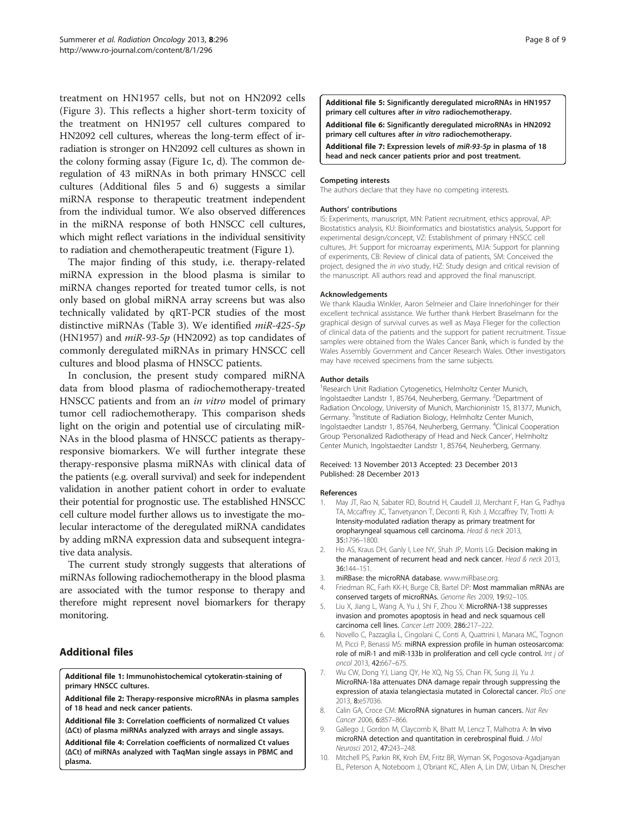<span id="page-7-0"></span>treatment on HN1957 cells, but not on HN2092 cells (Figure [3](#page-6-0)). This reflects a higher short-term toxicity of the treatment on HN1957 cell cultures compared to HN2092 cell cultures, whereas the long-term effect of irradiation is stronger on HN2092 cell cultures as shown in the colony forming assay (Figure [1c](#page-3-0), d). The common deregulation of 43 miRNAs in both primary HNSCC cell cultures (Additional files 5 and 6) suggests a similar miRNA response to therapeutic treatment independent from the individual tumor. We also observed differences in the miRNA response of both HNSCC cell cultures, which might reflect variations in the individual sensitivity to radiation and chemotherapeutic treatment (Figure [1](#page-3-0)).

The major finding of this study, i.e. therapy-related miRNA expression in the blood plasma is similar to miRNA changes reported for treated tumor cells, is not only based on global miRNA array screens but was also technically validated by qRT-PCR studies of the most distinctive miRNAs (Table [3](#page-6-0)). We identified miR-425-5p (HN1957) and  $miR-93-5p$  (HN2092) as top candidates of commonly deregulated miRNAs in primary HNSCC cell cultures and blood plasma of HNSCC patients.

In conclusion, the present study compared miRNA data from blood plasma of radiochemotherapy-treated HNSCC patients and from an *in vitro* model of primary tumor cell radiochemotherapy. This comparison sheds light on the origin and potential use of circulating miR-NAs in the blood plasma of HNSCC patients as therapyresponsive biomarkers. We will further integrate these therapy-responsive plasma miRNAs with clinical data of the patients (e.g. overall survival) and seek for independent validation in another patient cohort in order to evaluate their potential for prognostic use. The established HNSCC cell culture model further allows us to investigate the molecular interactome of the deregulated miRNA candidates by adding mRNA expression data and subsequent integrative data analysis.

The current study strongly suggests that alterations of miRNAs following radiochemotherapy in the blood plasma are associated with the tumor response to therapy and therefore might represent novel biomarkers for therapy monitoring.

# Additional files

[Additional file 1:](http://www.biomedcentral.com/content/supplementary/1748-717X-8-296-S1.zip) Immunohistochemical cytokeratin-staining of primary HNSCC cultures.

[Additional file 2:](http://www.biomedcentral.com/content/supplementary/1748-717X-8-296-S2.doc) Therapy-responsive microRNAs in plasma samples of 18 head and neck cancer patients.

[Additional file 3:](http://www.biomedcentral.com/content/supplementary/1748-717X-8-296-S3.doc) Correlation coefficients of normalized Ct values (ΔCt) of plasma miRNAs analyzed with arrays and single assays.

[Additional file 4:](http://www.biomedcentral.com/content/supplementary/1748-717X-8-296-S4.doc) Correlation coefficients of normalized Ct values (ΔCt) of miRNAs analyzed with TaqMan single assays in PBMC and plasma.

[Additional file 5:](http://www.biomedcentral.com/content/supplementary/1748-717X-8-296-S5.doc) Significantly deregulated microRNAs in HN1957 primary cell cultures after in vitro radiochemotherapy.

[Additional file 6:](http://www.biomedcentral.com/content/supplementary/1748-717X-8-296-S6.doc) Significantly deregulated microRNAs in HN2092 primary cell cultures after in vitro radiochemotherapy.

[Additional file 7:](http://www.biomedcentral.com/content/supplementary/1748-717X-8-296-S7.zip) Expression levels of miR-93-5p in plasma of 18 head and neck cancer patients prior and post treatment.

#### Competing interests

The authors declare that they have no competing interests.

#### Authors' contributions

IS: Experiments, manuscript, MN: Patient recruitment, ethics approval, AP: Biostatistics analysis, KU: Bioinformatics and biostatistics analysis, Support for experimental design/concept, VZ: Establishment of primary HNSCC cell cultures, JH: Support for microarray experiments, MJA: Support for planning of experiments, CB: Review of clinical data of patients, SM: Conceived the project, designed the in vivo study, HZ: Study design and critical revision of the manuscript. All authors read and approved the final manuscript.

#### Acknowledgements

We thank Klaudia Winkler, Aaron Selmeier and Claire Innerlohinger for their excellent technical assistance. We further thank Herbert Braselmann for the graphical design of survival curves as well as Maya Flieger for the collection of clinical data of the patients and the support for patient recruitment. Tissue samples were obtained from the Wales Cancer Bank, which is funded by the Wales Assembly Government and Cancer Research Wales. Other investigators may have received specimens from the same subjects.

#### Author details

<sup>1</sup> Research Unit Radiation Cytogenetics, Helmholtz Center Munich, Ingolstaedter Landstr 1, 85764, Neuherberg, Germany. <sup>2</sup>Department of Radiation Oncology, University of Munich, Marchioninistr 15, 81377, Munich, Germany.<sup>3</sup>Institute of Radiation Biology, Helmholtz Center Munich Ingolstaedter Landstr 1, 85764, Neuherberg, Germany. <sup>4</sup>Clinical Cooperation Group 'Personalized Radiotherapy of Head and Neck Cancer', Helmholtz Center Munich, Ingolstaedter Landstr 1, 85764, Neuherberg, Germany.

#### Received: 13 November 2013 Accepted: 23 December 2013 Published: 28 December 2013

#### References

- 1. May JT, Rao N, Sabater RD, Boutrid H, Caudell JJ, Merchant F, Han G, Padhya TA, Mccaffrey JC, Tanvetyanon T, Deconti R, Kish J, Mccaffrey TV, Trotti A: Intensity-modulated radiation therapy as primary treatment for oropharyngeal squamous cell carcinoma. Head & neck 2013, 35:1796–1800.
- 2. Ho AS, Kraus DH, Ganly I, Lee NY, Shah JP, Morris LG: Decision making in the management of recurrent head and neck cancer. Head & neck 2013, 36:144–151.
- 3. miRBase: the microRNA database. [www.miRbase.org.](http://www.mirbase.org)
- 4. Friedman RC, Farh KK-H, Burge CB, Bartel DP: Most mammalian mRNAs are conserved targets of microRNAs. Genome Res 2009, 19:92–105.
- 5. Liu X, Jiang L, Wang A, Yu J, Shi F, Zhou X: MicroRNA-138 suppresses invasion and promotes apoptosis in head and neck squamous cell carcinoma cell lines. Cancer Lett 2009, 286:217–222.
- 6. Novello C, Pazzaglia L, Cingolani C, Conti A, Quattrini I, Manara MC, Tognon M, Picci P, Benassi MS: miRNA expression profile in human osteosarcoma: role of miR-1 and miR-133b in proliferation and cell cycle control. Int j of oncol 2013, 42:667–675.
- 7. Wu CW, Dong YJ, Liang QY, He XQ, Ng SS, Chan FK, Sung JJ, Yu J: MicroRNA-18a attenuates DNA damage repair through suppressing the expression of ataxia telangiectasia mutated in Colorectal cancer. PloS one 2013, 8:e57036.
- 8. Calin GA, Croce CM: MicroRNA signatures in human cancers. Nat Rev Cancer 2006, 6:857–866.
- 9. Gallego J, Gordon M, Claycomb K, Bhatt M, Lencz T, Malhotra A: In vivo microRNA detection and quantitation in cerebrospinal fluid. J Mol Neurosci 2012, 47:243–248.
- 10. Mitchell PS, Parkin RK, Kroh EM, Fritz BR, Wyman SK, Pogosova-Agadjanyan EL, Peterson A, Noteboom J, O'briant KC, Allen A, Lin DW, Urban N, Drescher